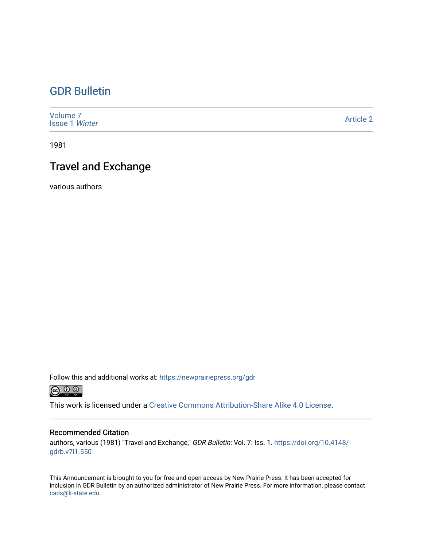### [GDR Bulletin](https://newprairiepress.org/gdr)

| Volume <sub>7</sub><br><b>Issue 1 Winter</b> | <b>Article 2</b> |
|----------------------------------------------|------------------|
|----------------------------------------------|------------------|

1981

### Travel and Exchange

various authors

Follow this and additional works at: [https://newprairiepress.org/gdr](https://newprairiepress.org/gdr?utm_source=newprairiepress.org%2Fgdr%2Fvol7%2Fiss1%2F2&utm_medium=PDF&utm_campaign=PDFCoverPages) 



This work is licensed under a [Creative Commons Attribution-Share Alike 4.0 License.](https://creativecommons.org/licenses/by-sa/4.0/)

#### Recommended Citation

authors, various (1981) "Travel and Exchange," GDR Bulletin: Vol. 7: Iss. 1. [https://doi.org/10.4148/](https://doi.org/10.4148/gdrb.v7i1.550) [gdrb.v7i1.550](https://doi.org/10.4148/gdrb.v7i1.550) 

This Announcement is brought to you for free and open access by New Prairie Press. It has been accepted for inclusion in GDR Bulletin by an authorized administrator of New Prairie Press. For more information, please contact [cads@k-state.edu.](mailto:cads@k-state.edu)